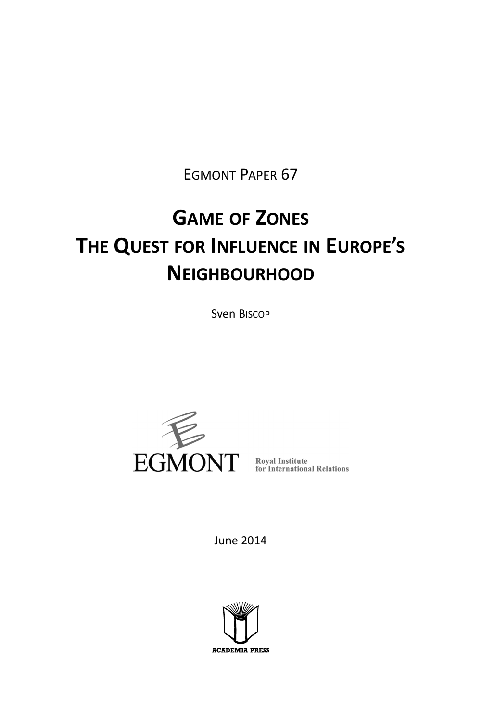EGMONT PAPER 67

# **GAME OF ZONES THE QUEST FOR INFLUENCE IN EUROPE'S NEIGHBOURHOOD**

Sven BISCOP



June 2014

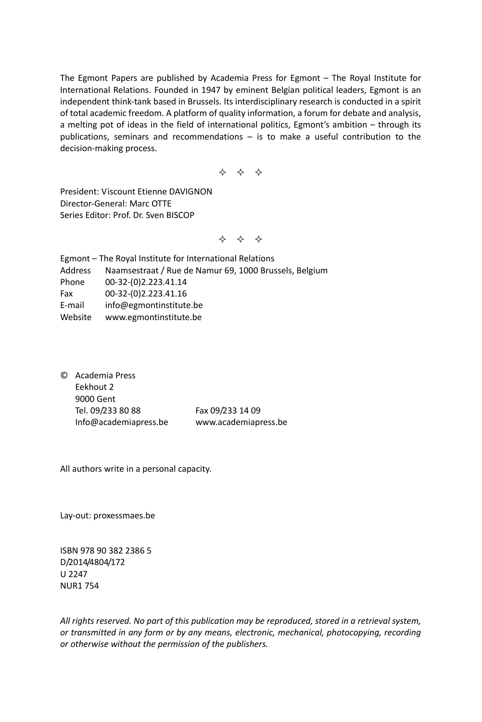The Egmont Papers are published by Academia Press for Egmont – The Royal Institute for International Relations. Founded in 1947 by eminent Belgian political leaders, Egmont is an independent think-tank based in Brussels. Its interdisciplinary research is conducted in a spirit of total academic freedom. A platform of quality information, a forum for debate and analysis, a melting pot of ideas in the field of international politics, Egmont's ambition – through its publications, seminars and recommendations – is to make a useful contribution to the decision-making process.

→ → →

President: Viscount Etienne DAVIGNON Director-General: Marc OTTE Series Editor: Prof. Dr. Sven BISCOP

→ → →

|         | Egmont - The Royal Institute for International Relations |
|---------|----------------------------------------------------------|
| Address | Naamsestraat / Rue de Namur 69, 1000 Brussels, Belgium   |
| Phone   | 00-32-(0)2.223.41.14                                     |
| Fax     | 00-32-(0)2.223.41.16                                     |
| E-mail  | info@egmontinstitute.be                                  |
| Website | www.egmontinstitute.be                                   |
|         |                                                          |

© Academia Press Eekhout 2 9000 Gent Tel. 09/233 80 88 Fax 09/233 14 09 Info@academiapress.be www.academiapress.be

All authors write in a personal capacity.

Lay-out: proxessmaes.be

ISBN 978 90 382 2386 5 D/2014/4804/172 U 2247 NUR1 754

*All rights reserved. No part of this publication may be reproduced, stored in a retrieval system, or transmitted in any form or by any means, electronic, mechanical, photocopying, recording or otherwise without the permission of the publishers.*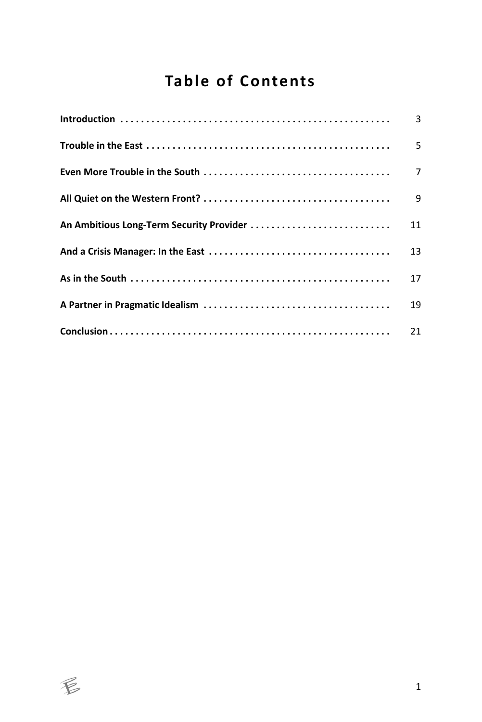# **Table of Contents**

|                                          | $\overline{5}$ |
|------------------------------------------|----------------|
|                                          | $\overline{7}$ |
|                                          | 9              |
| An Ambitious Long-Term Security Provider | 11             |
|                                          | 13             |
|                                          | 17             |
|                                          | 19             |
|                                          | 21             |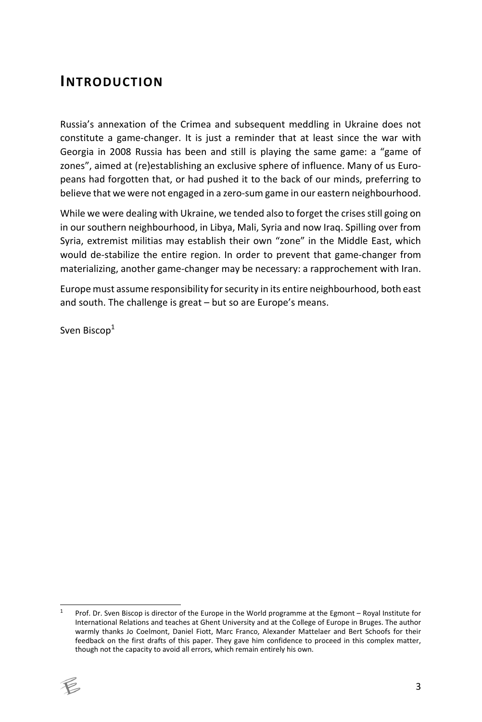#### **INTRODUCTION**

Russia's annexation of the Crimea and subsequent meddling in Ukraine does not constitute a game-changer. It is just a reminder that at least since the war with Georgia in 2008 Russia has been and still is playing the same game: a "game of zones", aimed at (re)establishing an exclusive sphere of influence. Many of us Europeans had forgotten that, or had pushed it to the back of our minds, preferring to believe that we were not engaged in a zero-sum game in our eastern neighbourhood.

While we were dealing with Ukraine, we tended also to forget the crises still going on in our southern neighbourhood, in Libya, Mali, Syria and now Iraq. Spilling over from Syria, extremist militias may establish their own "zone" in the Middle East, which would de-stabilize the entire region. In order to prevent that game-changer from materializing, another game-changer may be necessary: a rapprochement with Iran.

Europe must assume responsibility for security in its entire neighbourhood, both east and south. The challenge is great – but so are Europe's means.

Sven Biscop<sup>1</sup>

<sup>1</sup> Prof. Dr. Sven Biscop is director of the Europe in the World programme at the Egmont – Royal Institute for International Relations and teaches at Ghent University and at the College of Europe in Bruges. The author warmly thanks Jo Coelmont, Daniel Fiott, Marc Franco, Alexander Mattelaer and Bert Schoofs for their feedback on the first drafts of this paper. They gave him confidence to proceed in this complex matter, though not the capacity to avoid all errors, which remain entirely his own.

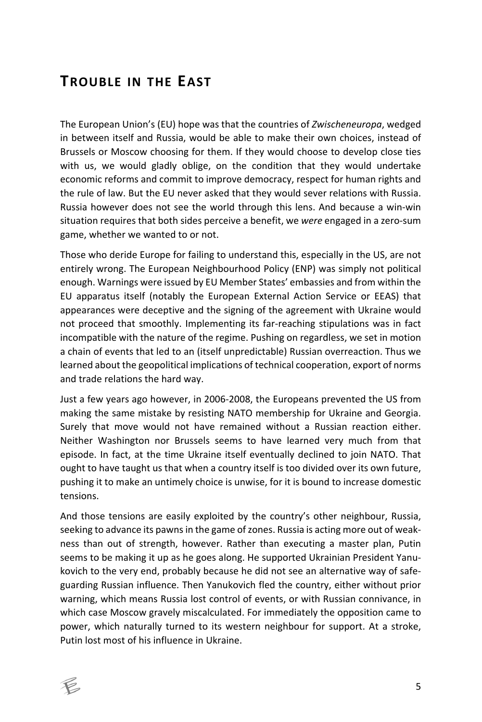#### **TROUBLE IN THE EAST**

The European Union's (EU) hope was that the countries of *Zwischeneuropa*, wedged in between itself and Russia, would be able to make their own choices, instead of Brussels or Moscow choosing for them. If they would choose to develop close ties with us, we would gladly oblige, on the condition that they would undertake economic reforms and commit to improve democracy, respect for human rights and the rule of law. But the EU never asked that they would sever relations with Russia. Russia however does not see the world through this lens. And because a win-win situation requires that both sides perceive a benefit, we *were* engaged in a zero-sum game, whether we wanted to or not.

Those who deride Europe for failing to understand this, especially in the US, are not entirely wrong. The European Neighbourhood Policy (ENP) was simply not political enough. Warnings were issued by EU Member States' embassies and from within the EU apparatus itself (notably the European External Action Service or EEAS) that appearances were deceptive and the signing of the agreement with Ukraine would not proceed that smoothly. Implementing its far-reaching stipulations was in fact incompatible with the nature of the regime. Pushing on regardless, we set in motion a chain of events that led to an (itself unpredictable) Russian overreaction. Thus we learned about the geopolitical implications of technical cooperation, export of norms and trade relations the hard way.

Just a few years ago however, in 2006-2008, the Europeans prevented the US from making the same mistake by resisting NATO membership for Ukraine and Georgia. Surely that move would not have remained without a Russian reaction either. Neither Washington nor Brussels seems to have learned very much from that episode. In fact, at the time Ukraine itself eventually declined to join NATO. That ought to have taught us that when a country itself is too divided over its own future, pushing it to make an untimely choice is unwise, for it is bound to increase domestic tensions.

And those tensions are easily exploited by the country's other neighbour, Russia, seeking to advance its pawns in the game of zones. Russia is acting more out of weakness than out of strength, however. Rather than executing a master plan, Putin seems to be making it up as he goes along. He supported Ukrainian President Yanukovich to the very end, probably because he did not see an alternative way of safeguarding Russian influence. Then Yanukovich fled the country, either without prior warning, which means Russia lost control of events, or with Russian connivance, in which case Moscow gravely miscalculated. For immediately the opposition came to power, which naturally turned to its western neighbour for support. At a stroke, Putin lost most of his influence in Ukraine.

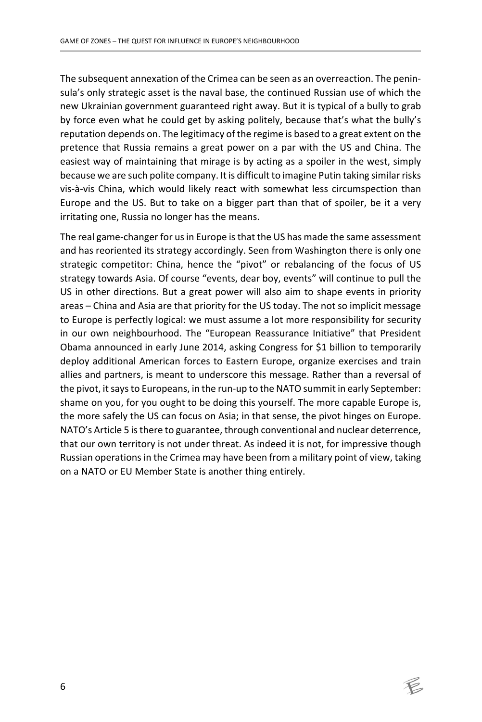The subsequent annexation of the Crimea can be seen as an overreaction. The peninsula's only strategic asset is the naval base, the continued Russian use of which the new Ukrainian government guaranteed right away. But it is typical of a bully to grab by force even what he could get by asking politely, because that's what the bully's reputation depends on. The legitimacy of the regime is based to a great extent on the pretence that Russia remains a great power on a par with the US and China. The easiest way of maintaining that mirage is by acting as a spoiler in the west, simply because we are such polite company. It is difficult to imagine Putin taking similar risks vis-à-vis China, which would likely react with somewhat less circumspection than Europe and the US. But to take on a bigger part than that of spoiler, be it a very irritating one, Russia no longer has the means.

The real game-changer for us in Europe is that the US has made the same assessment and has reoriented its strategy accordingly. Seen from Washington there is only one strategic competitor: China, hence the "pivot" or rebalancing of the focus of US strategy towards Asia. Of course "events, dear boy, events" will continue to pull the US in other directions. But a great power will also aim to shape events in priority areas – China and Asia are that priority for the US today. The not so implicit message to Europe is perfectly logical: we must assume a lot more responsibility for security in our own neighbourhood. The "European Reassurance Initiative" that President Obama announced in early June 2014, asking Congress for \$1 billion to temporarily deploy additional American forces to Eastern Europe, organize exercises and train allies and partners, is meant to underscore this message. Rather than a reversal of the pivot, it says to Europeans, in the run-up to the NATO summit in early September: shame on you, for you ought to be doing this yourself. The more capable Europe is, the more safely the US can focus on Asia; in that sense, the pivot hinges on Europe. NATO's Article 5 is there to guarantee, through conventional and nuclear deterrence, that our own territory is not under threat. As indeed it is not, for impressive though Russian operations in the Crimea may have been from a military point of view, taking on a NATO or EU Member State is another thing entirely.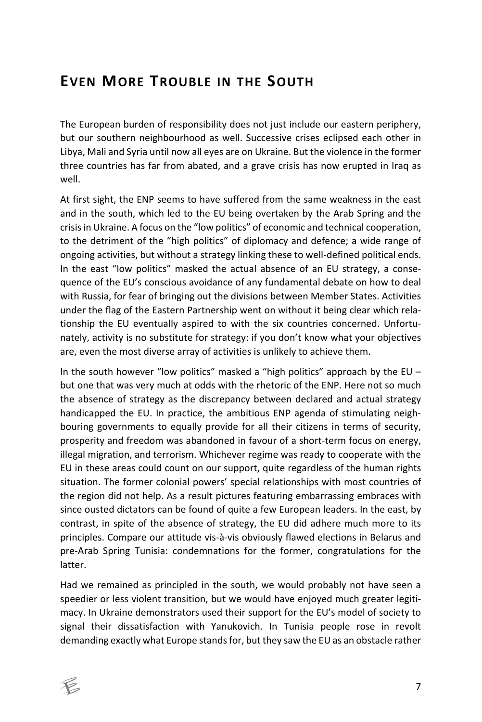#### **EVEN MORE TROUBLE IN THE SOUTH**

The European burden of responsibility does not just include our eastern periphery, but our southern neighbourhood as well. Successive crises eclipsed each other in Libya, Mali and Syria until now all eyes are on Ukraine. But the violence in the former three countries has far from abated, and a grave crisis has now erupted in Iraq as well.

At first sight, the ENP seems to have suffered from the same weakness in the east and in the south, which led to the EU being overtaken by the Arab Spring and the crisis in Ukraine. A focus on the "low politics" of economic and technical cooperation, to the detriment of the "high politics" of diplomacy and defence; a wide range of ongoing activities, but without a strategy linking these to well-defined political ends. In the east "low politics" masked the actual absence of an EU strategy, a consequence of the EU's conscious avoidance of any fundamental debate on how to deal with Russia, for fear of bringing out the divisions between Member States. Activities under the flag of the Eastern Partnership went on without it being clear which relationship the EU eventually aspired to with the six countries concerned. Unfortunately, activity is no substitute for strategy: if you don't know what your objectives are, even the most diverse array of activities is unlikely to achieve them.

In the south however "low politics" masked a "high politics" approach by the  $EU$ but one that was very much at odds with the rhetoric of the ENP. Here not so much the absence of strategy as the discrepancy between declared and actual strategy handicapped the EU. In practice, the ambitious ENP agenda of stimulating neighbouring governments to equally provide for all their citizens in terms of security, prosperity and freedom was abandoned in favour of a short-term focus on energy, illegal migration, and terrorism. Whichever regime was ready to cooperate with the EU in these areas could count on our support, quite regardless of the human rights situation. The former colonial powers' special relationships with most countries of the region did not help. As a result pictures featuring embarrassing embraces with since ousted dictators can be found of quite a few European leaders. In the east, by contrast, in spite of the absence of strategy, the EU did adhere much more to its principles. Compare our attitude vis-à-vis obviously flawed elections in Belarus and pre-Arab Spring Tunisia: condemnations for the former, congratulations for the latter.

Had we remained as principled in the south, we would probably not have seen a speedier or less violent transition, but we would have enjoyed much greater legitimacy. In Ukraine demonstrators used their support for the EU's model of society to signal their dissatisfaction with Yanukovich. In Tunisia people rose in revolt demanding exactly what Europe stands for, but they saw the EU as an obstacle rather

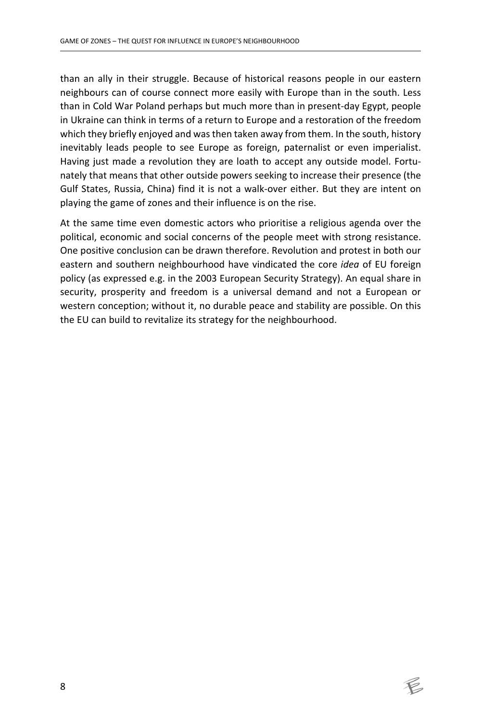than an ally in their struggle. Because of historical reasons people in our eastern neighbours can of course connect more easily with Europe than in the south. Less than in Cold War Poland perhaps but much more than in present-day Egypt, people in Ukraine can think in terms of a return to Europe and a restoration of the freedom which they briefly enjoyed and was then taken away from them. In the south, history inevitably leads people to see Europe as foreign, paternalist or even imperialist. Having just made a revolution they are loath to accept any outside model. Fortunately that means that other outside powers seeking to increase their presence (the Gulf States, Russia, China) find it is not a walk-over either. But they are intent on playing the game of zones and their influence is on the rise.

At the same time even domestic actors who prioritise a religious agenda over the political, economic and social concerns of the people meet with strong resistance. One positive conclusion can be drawn therefore. Revolution and protest in both our eastern and southern neighbourhood have vindicated the core *idea* of EU foreign policy (as expressed e.g. in the 2003 European Security Strategy). An equal share in security, prosperity and freedom is a universal demand and not a European or western conception; without it, no durable peace and stability are possible. On this the EU can build to revitalize its strategy for the neighbourhood.

 $\not\approx$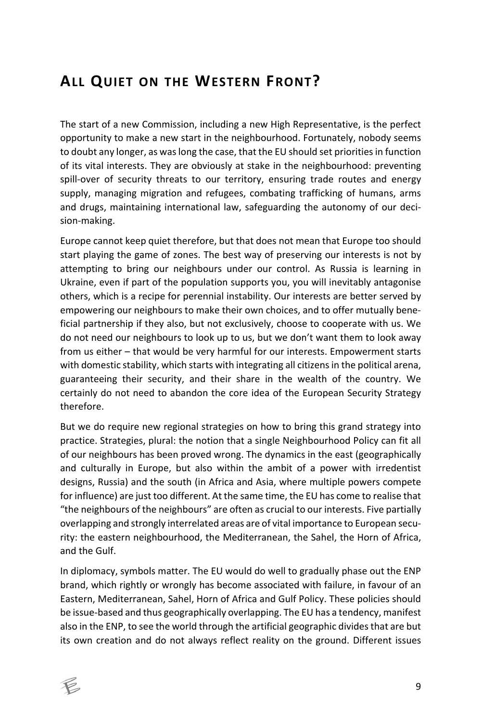# **ALL QUIET ON THE WESTERN FRONT?**

The start of a new Commission, including a new High Representative, is the perfect opportunity to make a new start in the neighbourhood. Fortunately, nobody seems to doubt any longer, as was long the case, that the EU should set priorities in function of its vital interests. They are obviously at stake in the neighbourhood: preventing spill-over of security threats to our territory, ensuring trade routes and energy supply, managing migration and refugees, combating trafficking of humans, arms and drugs, maintaining international law, safeguarding the autonomy of our decision-making.

Europe cannot keep quiet therefore, but that does not mean that Europe too should start playing the game of zones. The best way of preserving our interests is not by attempting to bring our neighbours under our control. As Russia is learning in Ukraine, even if part of the population supports you, you will inevitably antagonise others, which is a recipe for perennial instability. Our interests are better served by empowering our neighbours to make their own choices, and to offer mutually beneficial partnership if they also, but not exclusively, choose to cooperate with us. We do not need our neighbours to look up to us, but we don't want them to look away from us either – that would be very harmful for our interests. Empowerment starts with domestic stability, which starts with integrating all citizens in the political arena, guaranteeing their security, and their share in the wealth of the country. We certainly do not need to abandon the core idea of the European Security Strategy therefore.

But we do require new regional strategies on how to bring this grand strategy into practice. Strategies, plural: the notion that a single Neighbourhood Policy can fit all of our neighbours has been proved wrong. The dynamics in the east (geographically and culturally in Europe, but also within the ambit of a power with irredentist designs, Russia) and the south (in Africa and Asia, where multiple powers compete for influence) are just too different. At the same time, the EU has come to realise that "the neighbours of the neighbours" are often as crucial to our interests. Five partially overlapping and strongly interrelated areas are of vital importance to European security: the eastern neighbourhood, the Mediterranean, the Sahel, the Horn of Africa, and the Gulf.

In diplomacy, symbols matter. The EU would do well to gradually phase out the ENP brand, which rightly or wrongly has become associated with failure, in favour of an Eastern, Mediterranean, Sahel, Horn of Africa and Gulf Policy. These policies should be issue-based and thus geographically overlapping. The EU has a tendency, manifest also in the ENP, to see the world through the artificial geographic divides that are but its own creation and do not always reflect reality on the ground. Different issues

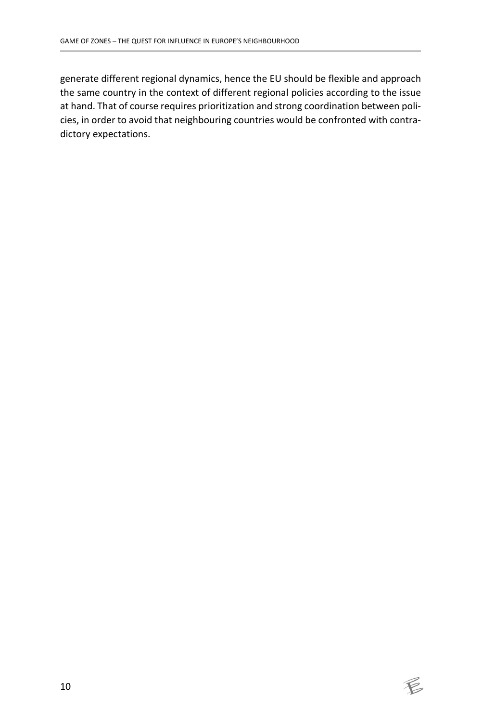generate different regional dynamics, hence the EU should be flexible and approach the same country in the context of different regional policies according to the issue at hand. That of course requires prioritization and strong coordination between policies, in order to avoid that neighbouring countries would be confronted with contradictory expectations.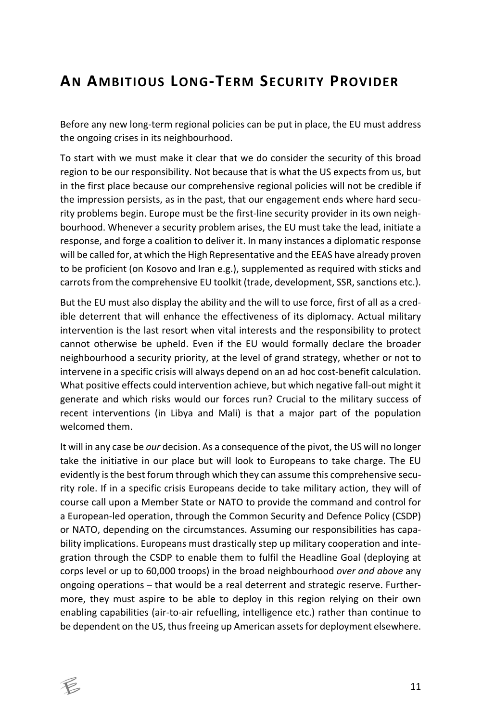# **AN AMBITIOUS LONG-TERM SECURITY PROVIDER**

Before any new long-term regional policies can be put in place, the EU must address the ongoing crises in its neighbourhood.

To start with we must make it clear that we do consider the security of this broad region to be our responsibility. Not because that is what the US expects from us, but in the first place because our comprehensive regional policies will not be credible if the impression persists, as in the past, that our engagement ends where hard security problems begin. Europe must be the first-line security provider in its own neighbourhood. Whenever a security problem arises, the EU must take the lead, initiate a response, and forge a coalition to deliver it. In many instances a diplomatic response will be called for, at which the High Representative and the EEAS have already proven to be proficient (on Kosovo and Iran e.g.), supplemented as required with sticks and carrots from the comprehensive EU toolkit (trade, development, SSR, sanctions etc.).

But the EU must also display the ability and the will to use force, first of all as a credible deterrent that will enhance the effectiveness of its diplomacy. Actual military intervention is the last resort when vital interests and the responsibility to protect cannot otherwise be upheld. Even if the EU would formally declare the broader neighbourhood a security priority, at the level of grand strategy, whether or not to intervene in a specific crisis will always depend on an ad hoc cost-benefit calculation. What positive effects could intervention achieve, but which negative fall-out might it generate and which risks would our forces run? Crucial to the military success of recent interventions (in Libya and Mali) is that a major part of the population welcomed them.

It will in any case be *our* decision. As a consequence of the pivot, the US will no longer take the initiative in our place but will look to Europeans to take charge. The EU evidently is the best forum through which they can assume this comprehensive security role. If in a specific crisis Europeans decide to take military action, they will of course call upon a Member State or NATO to provide the command and control for a European-led operation, through the Common Security and Defence Policy (CSDP) or NATO, depending on the circumstances. Assuming our responsibilities has capability implications. Europeans must drastically step up military cooperation and integration through the CSDP to enable them to fulfil the Headline Goal (deploying at corps level or up to 60,000 troops) in the broad neighbourhood *over and above* any ongoing operations – that would be a real deterrent and strategic reserve. Furthermore, they must aspire to be able to deploy in this region relying on their own enabling capabilities (air-to-air refuelling, intelligence etc.) rather than continue to be dependent on the US, thus freeing up American assets for deployment elsewhere.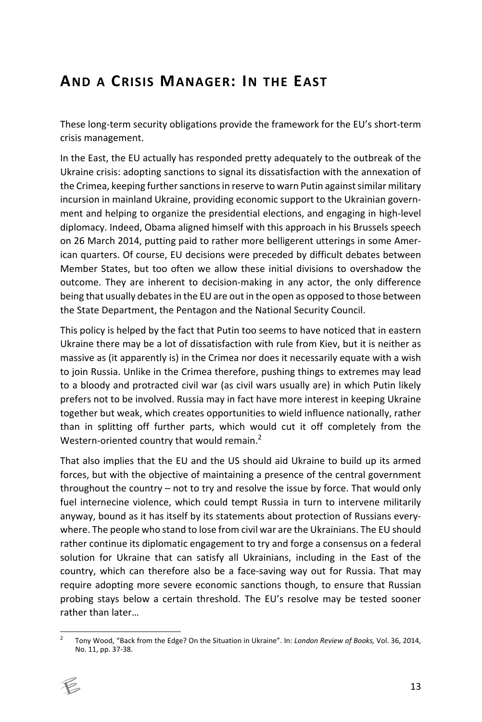# **AND A CRISIS MANAGER: IN THE EAST**

These long-term security obligations provide the framework for the EU's short-term crisis management.

In the East, the EU actually has responded pretty adequately to the outbreak of the Ukraine crisis: adopting sanctions to signal its dissatisfaction with the annexation of the Crimea, keeping further sanctions in reserve to warn Putin against similar military incursion in mainland Ukraine, providing economic support to the Ukrainian government and helping to organize the presidential elections, and engaging in high-level diplomacy. Indeed, Obama aligned himself with this approach in his Brussels speech on 26 March 2014, putting paid to rather more belligerent utterings in some American quarters. Of course, EU decisions were preceded by difficult debates between Member States, but too often we allow these initial divisions to overshadow the outcome. They are inherent to decision-making in any actor, the only difference being that usually debates in the EU are out in the open as opposed to those between the State Department, the Pentagon and the National Security Council.

This policy is helped by the fact that Putin too seems to have noticed that in eastern Ukraine there may be a lot of dissatisfaction with rule from Kiev, but it is neither as massive as (it apparently is) in the Crimea nor does it necessarily equate with a wish to join Russia. Unlike in the Crimea therefore, pushing things to extremes may lead to a bloody and protracted civil war (as civil wars usually are) in which Putin likely prefers not to be involved. Russia may in fact have more interest in keeping Ukraine together but weak, which creates opportunities to wield influence nationally, rather than in splitting off further parts, which would cut it off completely from the Western-oriented country that would remain.<sup>2</sup>

That also implies that the EU and the US should aid Ukraine to build up its armed forces, but with the objective of maintaining a presence of the central government throughout the country – not to try and resolve the issue by force. That would only fuel internecine violence, which could tempt Russia in turn to intervene militarily anyway, bound as it has itself by its statements about protection of Russians everywhere. The people who stand to lose from civil war are the Ukrainians. The EU should rather continue its diplomatic engagement to try and forge a consensus on a federal solution for Ukraine that can satisfy all Ukrainians, including in the East of the country, which can therefore also be a face-saving way out for Russia. That may require adopting more severe economic sanctions though, to ensure that Russian probing stays below a certain threshold. The EU's resolve may be tested sooner rather than later…

<sup>2</sup> Tony Wood, "Back from the Edge? On the Situation in Ukraine". In: *London Review of Books,* Vol. 36, 2014, No. 11, pp. 37-38.

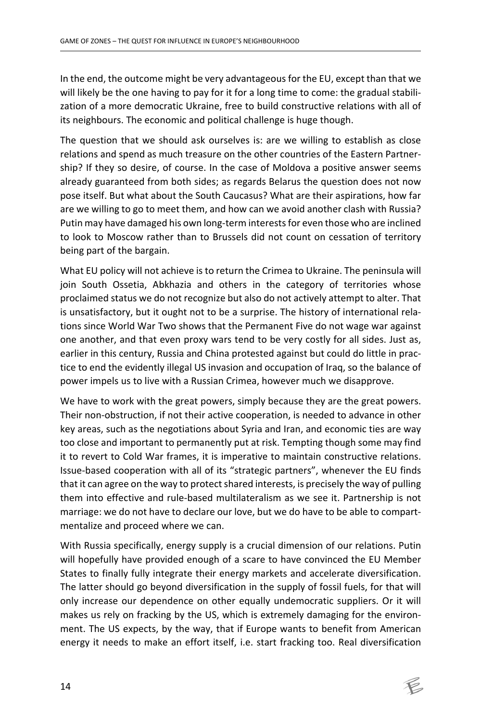In the end, the outcome might be very advantageous for the EU, except than that we will likely be the one having to pay for it for a long time to come: the gradual stabilization of a more democratic Ukraine, free to build constructive relations with all of its neighbours. The economic and political challenge is huge though.

The question that we should ask ourselves is: are we willing to establish as close relations and spend as much treasure on the other countries of the Eastern Partnership? If they so desire, of course. In the case of Moldova a positive answer seems already guaranteed from both sides; as regards Belarus the question does not now pose itself. But what about the South Caucasus? What are their aspirations, how far are we willing to go to meet them, and how can we avoid another clash with Russia? Putin may have damaged his own long-term interests for even those who are inclined to look to Moscow rather than to Brussels did not count on cessation of territory being part of the bargain.

What EU policy will not achieve is to return the Crimea to Ukraine. The peninsula will join South Ossetia, Abkhazia and others in the category of territories whose proclaimed status we do not recognize but also do not actively attempt to alter. That is unsatisfactory, but it ought not to be a surprise. The history of international relations since World War Two shows that the Permanent Five do not wage war against one another, and that even proxy wars tend to be very costly for all sides. Just as, earlier in this century, Russia and China protested against but could do little in practice to end the evidently illegal US invasion and occupation of Iraq, so the balance of power impels us to live with a Russian Crimea, however much we disapprove.

We have to work with the great powers, simply because they are the great powers. Their non-obstruction, if not their active cooperation, is needed to advance in other key areas, such as the negotiations about Syria and Iran, and economic ties are way too close and important to permanently put at risk. Tempting though some may find it to revert to Cold War frames, it is imperative to maintain constructive relations. Issue-based cooperation with all of its "strategic partners", whenever the EU finds that it can agree on the way to protect shared interests, is precisely the way of pulling them into effective and rule-based multilateralism as we see it. Partnership is not marriage: we do not have to declare our love, but we do have to be able to compartmentalize and proceed where we can.

With Russia specifically, energy supply is a crucial dimension of our relations. Putin will hopefully have provided enough of a scare to have convinced the EU Member States to finally fully integrate their energy markets and accelerate diversification. The latter should go beyond diversification in the supply of fossil fuels, for that will only increase our dependence on other equally undemocratic suppliers. Or it will makes us rely on fracking by the US, which is extremely damaging for the environment. The US expects, by the way, that if Europe wants to benefit from American energy it needs to make an effort itself, i.e. start fracking too. Real diversification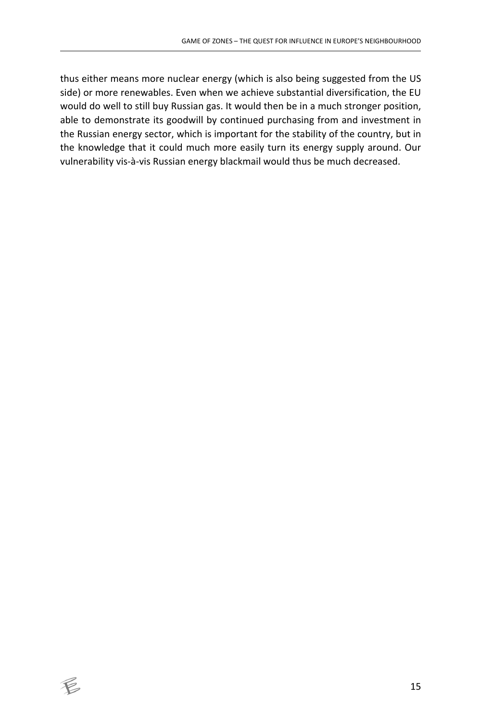thus either means more nuclear energy (which is also being suggested from the US side) or more renewables. Even when we achieve substantial diversification, the EU would do well to still buy Russian gas. It would then be in a much stronger position, able to demonstrate its goodwill by continued purchasing from and investment in the Russian energy sector, which is important for the stability of the country, but in the knowledge that it could much more easily turn its energy supply around. Our vulnerability vis-à-vis Russian energy blackmail would thus be much decreased.

 $\mathcal{P}$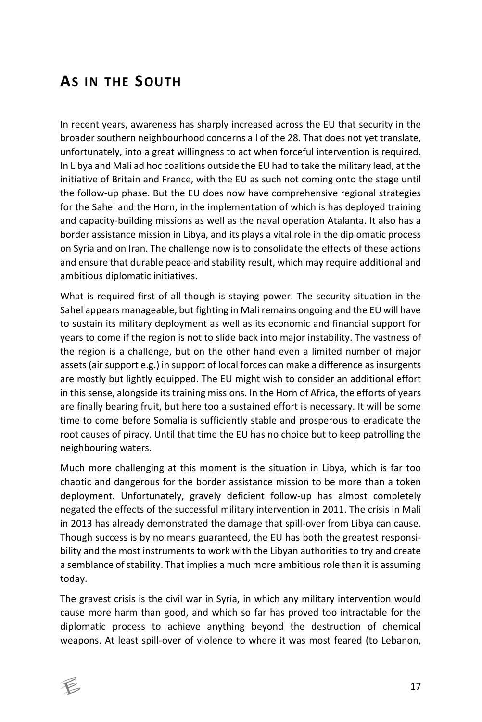### **AS IN THE SOUTH**

In recent years, awareness has sharply increased across the EU that security in the broader southern neighbourhood concerns all of the 28. That does not yet translate, unfortunately, into a great willingness to act when forceful intervention is required. In Libya and Mali ad hoc coalitions outside the EU had to take the military lead, at the initiative of Britain and France, with the EU as such not coming onto the stage until the follow-up phase. But the EU does now have comprehensive regional strategies for the Sahel and the Horn, in the implementation of which is has deployed training and capacity-building missions as well as the naval operation Atalanta. It also has a border assistance mission in Libya, and its plays a vital role in the diplomatic process on Syria and on Iran. The challenge now is to consolidate the effects of these actions and ensure that durable peace and stability result, which may require additional and ambitious diplomatic initiatives.

What is required first of all though is staying power. The security situation in the Sahel appears manageable, but fighting in Mali remains ongoing and the EU will have to sustain its military deployment as well as its economic and financial support for years to come if the region is not to slide back into major instability. The vastness of the region is a challenge, but on the other hand even a limited number of major assets (air support e.g.) in support of local forces can make a difference as insurgents are mostly but lightly equipped. The EU might wish to consider an additional effort in this sense, alongside its training missions. In the Horn of Africa, the efforts of years are finally bearing fruit, but here too a sustained effort is necessary. It will be some time to come before Somalia is sufficiently stable and prosperous to eradicate the root causes of piracy. Until that time the EU has no choice but to keep patrolling the neighbouring waters.

Much more challenging at this moment is the situation in Libya, which is far too chaotic and dangerous for the border assistance mission to be more than a token deployment. Unfortunately, gravely deficient follow-up has almost completely negated the effects of the successful military intervention in 2011. The crisis in Mali in 2013 has already demonstrated the damage that spill-over from Libya can cause. Though success is by no means guaranteed, the EU has both the greatest responsibility and the most instruments to work with the Libyan authorities to try and create a semblance of stability. That implies a much more ambitious role than it is assuming today.

The gravest crisis is the civil war in Syria, in which any military intervention would cause more harm than good, and which so far has proved too intractable for the diplomatic process to achieve anything beyond the destruction of chemical weapons. At least spill-over of violence to where it was most feared (to Lebanon,

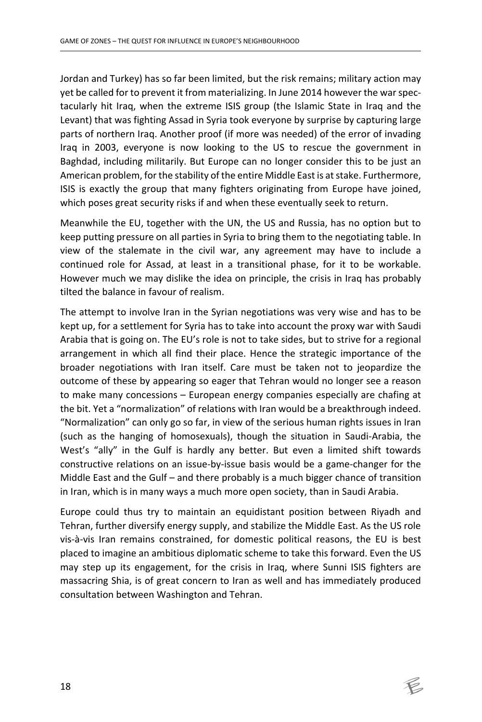Jordan and Turkey) has so far been limited, but the risk remains; military action may yet be called for to prevent it from materializing. In June 2014 however the war spectacularly hit Iraq, when the extreme ISIS group (the Islamic State in Iraq and the Levant) that was fighting Assad in Syria took everyone by surprise by capturing large parts of northern Iraq. Another proof (if more was needed) of the error of invading Iraq in 2003, everyone is now looking to the US to rescue the government in Baghdad, including militarily. But Europe can no longer consider this to be just an American problem, for the stability of the entire Middle East is at stake. Furthermore, ISIS is exactly the group that many fighters originating from Europe have joined, which poses great security risks if and when these eventually seek to return.

Meanwhile the EU, together with the UN, the US and Russia, has no option but to keep putting pressure on all parties in Syria to bring them to the negotiating table. In view of the stalemate in the civil war, any agreement may have to include a continued role for Assad, at least in a transitional phase, for it to be workable. However much we may dislike the idea on principle, the crisis in Iraq has probably tilted the balance in favour of realism.

The attempt to involve Iran in the Syrian negotiations was very wise and has to be kept up, for a settlement for Syria has to take into account the proxy war with Saudi Arabia that is going on. The EU's role is not to take sides, but to strive for a regional arrangement in which all find their place. Hence the strategic importance of the broader negotiations with Iran itself. Care must be taken not to jeopardize the outcome of these by appearing so eager that Tehran would no longer see a reason to make many concessions – European energy companies especially are chafing at the bit. Yet a "normalization" of relations with Iran would be a breakthrough indeed. "Normalization" can only go so far, in view of the serious human rights issues in Iran (such as the hanging of homosexuals), though the situation in Saudi-Arabia, the West's "ally" in the Gulf is hardly any better. But even a limited shift towards constructive relations on an issue-by-issue basis would be a game-changer for the Middle East and the Gulf – and there probably is a much bigger chance of transition in Iran, which is in many ways a much more open society, than in Saudi Arabia.

Europe could thus try to maintain an equidistant position between Riyadh and Tehran, further diversify energy supply, and stabilize the Middle East. As the US role vis-à-vis Iran remains constrained, for domestic political reasons, the EU is best placed to imagine an ambitious diplomatic scheme to take this forward. Even the US may step up its engagement, for the crisis in Iraq, where Sunni ISIS fighters are massacring Shia, is of great concern to Iran as well and has immediately produced consultation between Washington and Tehran.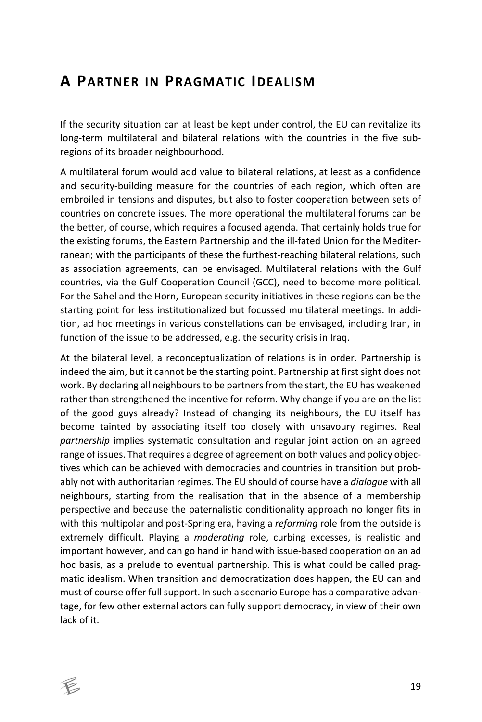#### **A PARTNER IN PRAGMATIC IDEALISM**

If the security situation can at least be kept under control, the EU can revitalize its long-term multilateral and bilateral relations with the countries in the five subregions of its broader neighbourhood.

A multilateral forum would add value to bilateral relations, at least as a confidence and security-building measure for the countries of each region, which often are embroiled in tensions and disputes, but also to foster cooperation between sets of countries on concrete issues. The more operational the multilateral forums can be the better, of course, which requires a focused agenda. That certainly holds true for the existing forums, the Eastern Partnership and the ill-fated Union for the Mediterranean; with the participants of these the furthest-reaching bilateral relations, such as association agreements, can be envisaged. Multilateral relations with the Gulf countries, via the Gulf Cooperation Council (GCC), need to become more political. For the Sahel and the Horn, European security initiatives in these regions can be the starting point for less institutionalized but focussed multilateral meetings. In addition, ad hoc meetings in various constellations can be envisaged, including Iran, in function of the issue to be addressed, e.g. the security crisis in Iraq.

At the bilateral level, a reconceptualization of relations is in order. Partnership is indeed the aim, but it cannot be the starting point. Partnership at first sight does not work. By declaring all neighbours to be partners from the start, the EU has weakened rather than strengthened the incentive for reform. Why change if you are on the list of the good guys already? Instead of changing its neighbours, the EU itself has become tainted by associating itself too closely with unsavoury regimes. Real *partnership* implies systematic consultation and regular joint action on an agreed range of issues. That requires a degree of agreement on both values and policy objectives which can be achieved with democracies and countries in transition but probably not with authoritarian regimes. The EU should of course have a *dialogue* with all neighbours, starting from the realisation that in the absence of a membership perspective and because the paternalistic conditionality approach no longer fits in with this multipolar and post-Spring era, having a *reforming* role from the outside is extremely difficult. Playing a *moderating* role, curbing excesses, is realistic and important however, and can go hand in hand with issue-based cooperation on an ad hoc basis, as a prelude to eventual partnership. This is what could be called pragmatic idealism. When transition and democratization does happen, the EU can and must of course offer full support. In such a scenario Europe has a comparative advantage, for few other external actors can fully support democracy, in view of their own lack of it.

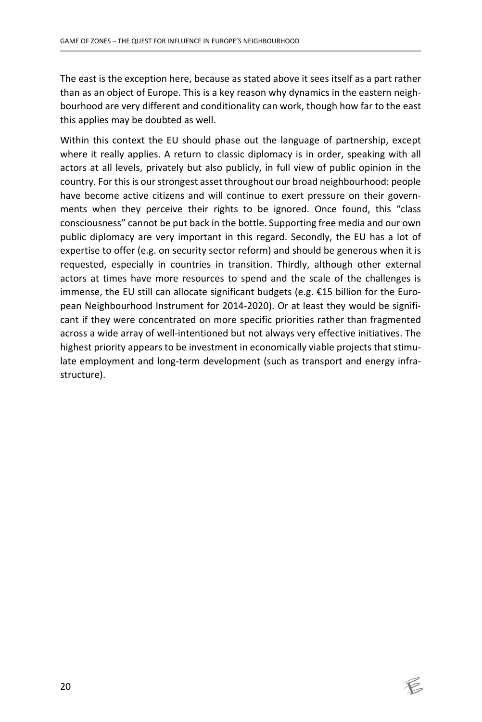The east is the exception here, because as stated above it sees itself as a part rather than as an object of Europe. This is a key reason why dynamics in the eastern neighbourhood are very different and conditionality can work, though how far to the east this applies may be doubted as well.

Within this context the EU should phase out the language of partnership, except where it really applies. A return to classic diplomacy is in order, speaking with all actors at all levels, privately but also publicly, in full view of public opinion in the country. For this is our strongest asset throughout our broad neighbourhood: people have become active citizens and will continue to exert pressure on their governments when they perceive their rights to be ignored. Once found, this "class consciousness" cannot be put back in the bottle. Supporting free media and our own public diplomacy are very important in this regard. Secondly, the EU has a lot of expertise to offer (e.g. on security sector reform) and should be generous when it is requested, especially in countries in transition. Thirdly, although other external actors at times have more resources to spend and the scale of the challenges is immense, the EU still can allocate significant budgets (e.g. €15 billion for the European Neighbourhood Instrument for 2014-2020). Or at least they would be significant if they were concentrated on more specific priorities rather than fragmented across a wide array of well-intentioned but not always very effective initiatives. The highest priority appears to be investment in economically viable projects that stimulate employment and long-term development (such as transport and energy infrastructure).